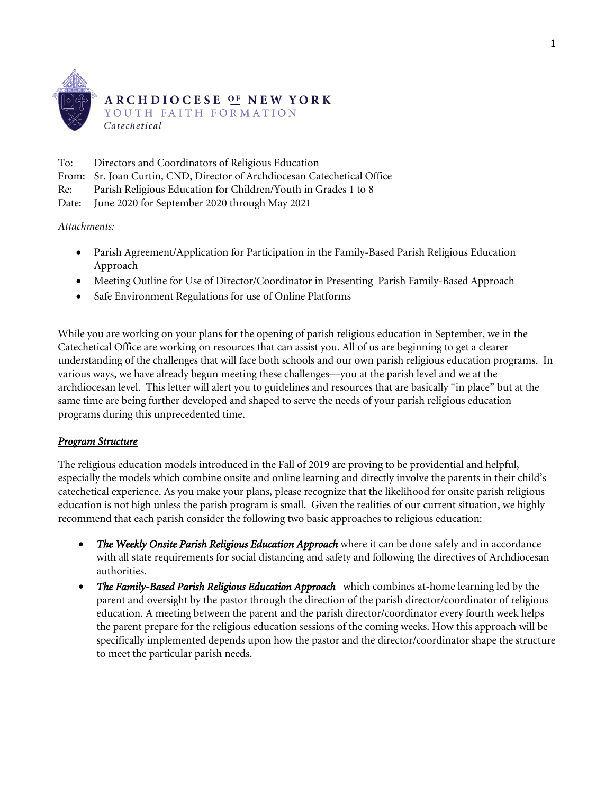

To: Directors and Coordinators of Religious Education

From: Sr. Joan Curtin, CND, Director of Archdiocesan Catechetical Office

Re: Parish Religious Education for Children/Youth in Grades 1 to 8

Date: June 2020 for September 2020 through May 2021

*Attachments:* 

- Parish Agreement/Application for Participation in the Family-Based Parish Religious Education Approach
- Meeting Outline for Use of Director/Coordinator in Presenting Parish Family-Based Approach
- Safe Environment Regulations for use of Online Platforms

While you are working on your plans for the opening of parish religious education in September, we in the Catechetical Office are working on resources that can assist you. All of us are beginning to get a clearer understanding of the challenges that will face both schools and our own parish religious education programs. In various ways, we have already begun meeting these challenges—you at the parish level and we at the archdiocesan level. This letter will alert you to guidelines and resources that are basically "in place" but at the same time are being further developed and shaped to serve the needs of your parish religious education programs during this unprecedented time.

### *Program Structure*

The religious education models introduced in the Fall of 2019 are proving to be providential and helpful, especially the models which combine onsite and online learning and directly involve the parents in their child's catechetical experience. As you make your plans, please recognize that the likelihood for onsite parish religious education is not high unless the parish program is small. Given the realities of our current situation, we highly recommend that each parish consider the following two basic approaches to religious education:

- *The Weekly Onsite Parish Religious Education Approach* where it can be done safely and in accordance with all state requirements for social distancing and safety and following the directives of Archdiocesan authorities.
- *The Family-Based Parish Religious Education Approach* which combines at-home learning led by the parent and oversight by the pastor through the direction of the parish director/coordinator of religious education. A meeting between the parent and the parish director/coordinator every fourth week helps the parent prepare for the religious education sessions of the coming weeks. How this approach will be specifically implemented depends upon how the pastor and the director/coordinator shape the structure to meet the particular parish needs.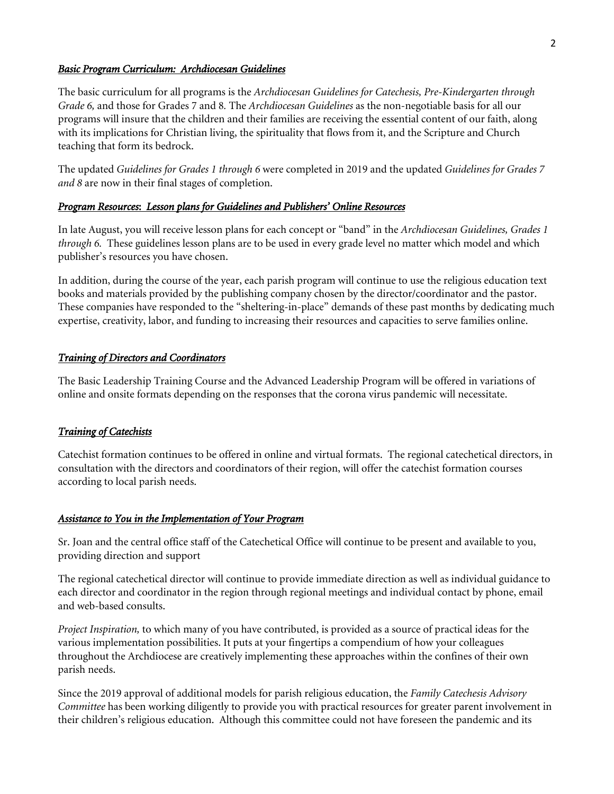### *Basic Program Curriculum: Archdiocesan Guidelines*

The basic curriculum for all programs is the *Archdiocesan Guidelines for Catechesis, Pre-Kindergarten through Grade 6,* and those for Grades 7 and 8*.* The *Archdiocesan Guidelines* as the non-negotiable basis for all our programs will insure that the children and their families are receiving the essential content of our faith, along with its implications for Christian living, the spirituality that flows from it, and the Scripture and Church teaching that form its bedrock.

The updated *Guidelines for Grades 1 through 6* were completed in 2019 and the updated *Guidelines for Grades 7 and 8* are now in their final stages of completion.

### *Program Resources*: *Lesson plans for Guidelines and Publishers' Online Resources*

In late August, you will receive lesson plans for each concept or "band" in the *Archdiocesan Guidelines, Grades 1 through 6.* These guidelines lesson plans are to be used in every grade level no matter which model and which publisher's resources you have chosen.

In addition, during the course of the year, each parish program will continue to use the religious education text books and materials provided by the publishing company chosen by the director/coordinator and the pastor. These companies have responded to the "sheltering-in-place" demands of these past months by dedicating much expertise, creativity, labor, and funding to increasing their resources and capacities to serve families online.

### *Training of Directors and Coordinators*

The Basic Leadership Training Course and the Advanced Leadership Program will be offered in variations of online and onsite formats depending on the responses that the corona virus pandemic will necessitate.

#### *Training of Catechists*

Catechist formation continues to be offered in online and virtual formats. The regional catechetical directors, in consultation with the directors and coordinators of their region, will offer the catechist formation courses according to local parish needs.

### *Assistance to You in the Implementation of Your Program*

Sr. Joan and the central office staff of the Catechetical Office will continue to be present and available to you, providing direction and support

The regional catechetical director will continue to provide immediate direction as well as individual guidance to each director and coordinator in the region through regional meetings and individual contact by phone, email and web-based consults.

*Project Inspiration,* to which many of you have contributed, is provided as a source of practical ideas for the various implementation possibilities. It puts at your fingertips a compendium of how your colleagues throughout the Archdiocese are creatively implementing these approaches within the confines of their own parish needs.

Since the 2019 approval of additional models for parish religious education, the *Family Catechesis Advisory Committee* has been working diligently to provide you with practical resources for greater parent involvement in their children's religious education. Although this committee could not have foreseen the pandemic and its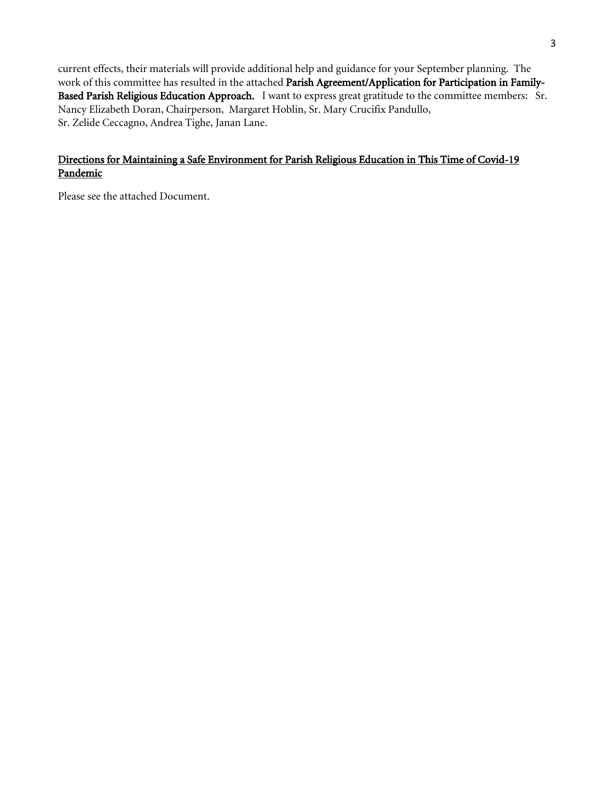current effects, their materials will provide additional help and guidance for your September planning. The work of this committee has resulted in the attached Parish Agreement/Application for Participation in Family-Based Parish Religious Education Approach. I want to express great gratitude to the committee members: Sr. Nancy Elizabeth Doran, Chairperson, Margaret Hoblin, Sr. Mary Crucifix Pandullo, Sr. Zelide Ceccagno, Andrea Tighe, Janan Lane.

### Directions for Maintaining a Safe Environment for Parish Religious Education in This Time of Covid-19 Pandemic

Please see the attached Document.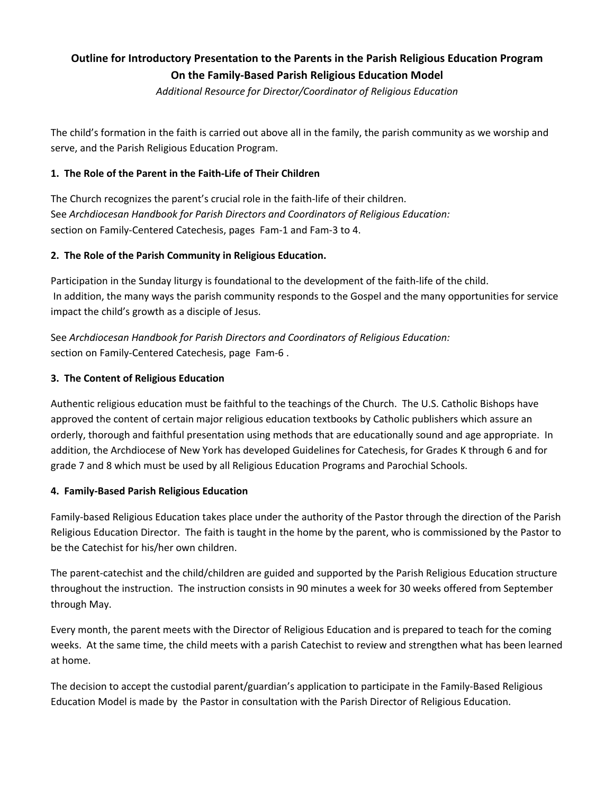# **Outline for Introductory Presentation to the Parents in the Parish Religious Education Program On the Family-Based Parish Religious Education Model**

*Additional Resource for Director/Coordinator of Religious Education*

The child's formation in the faith is carried out above all in the family, the parish community as we worship and serve, and the Parish Religious Education Program.

### **1. The Role of the Parent in the Faith-Life of Their Children**

The Church recognizes the parent's crucial role in the faith-life of their children. See *Archdiocesan Handbook for Parish Directors and Coordinators of Religious Education:* section on Family-Centered Catechesis, pages Fam-1 and Fam-3 to 4.

### **2. The Role of the Parish Community in Religious Education.**

Participation in the Sunday liturgy is foundational to the development of the faith-life of the child. In addition, the many ways the parish community responds to the Gospel and the many opportunities for service impact the child's growth as a disciple of Jesus.

See *Archdiocesan Handbook for Parish Directors and Coordinators of Religious Education:* section on Family-Centered Catechesis, page Fam-6 .

### **3. The Content of Religious Education**

Authentic religious education must be faithful to the teachings of the Church. The U.S. Catholic Bishops have approved the content of certain major religious education textbooks by Catholic publishers which assure an orderly, thorough and faithful presentation using methods that are educationally sound and age appropriate. In addition, the Archdiocese of New York has developed Guidelines for Catechesis, for Grades K through 6 and for grade 7 and 8 which must be used by all Religious Education Programs and Parochial Schools.

### **4. Family-Based Parish Religious Education**

Family-based Religious Education takes place under the authority of the Pastor through the direction of the Parish Religious Education Director. The faith is taught in the home by the parent, who is commissioned by the Pastor to be the Catechist for his/her own children.

The parent-catechist and the child/children are guided and supported by the Parish Religious Education structure throughout the instruction. The instruction consists in 90 minutes a week for 30 weeks offered from September through May.

Every month, the parent meets with the Director of Religious Education and is prepared to teach for the coming weeks. At the same time, the child meets with a parish Catechist to review and strengthen what has been learned at home.

The decision to accept the custodial parent/guardian's application to participate in the Family-Based Religious Education Model is made by the Pastor in consultation with the Parish Director of Religious Education.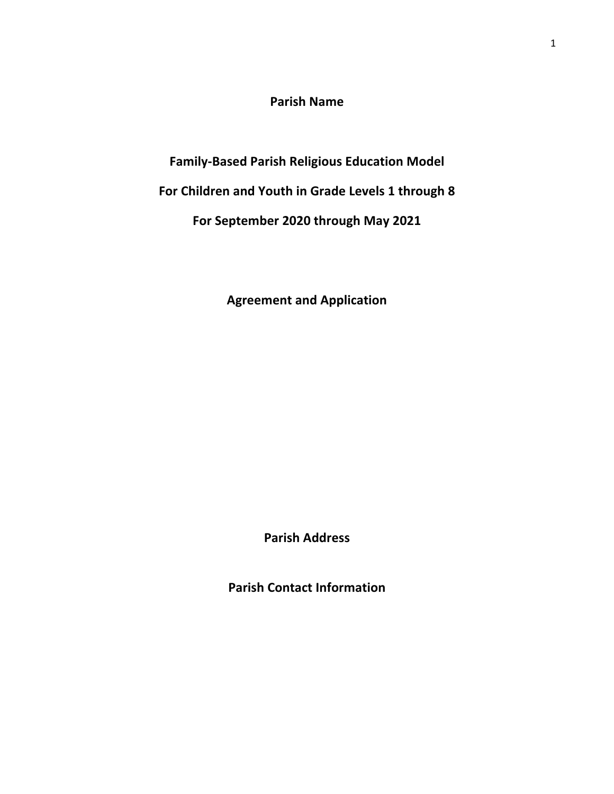**Parish Name** 

**Family-Based Parish Religious Education Model**

**For Children and Youth in Grade Levels 1 through 8**

**For September 2020 through May 2021** 

**Agreement and Application**

**Parish Address**

**Parish Contact Information**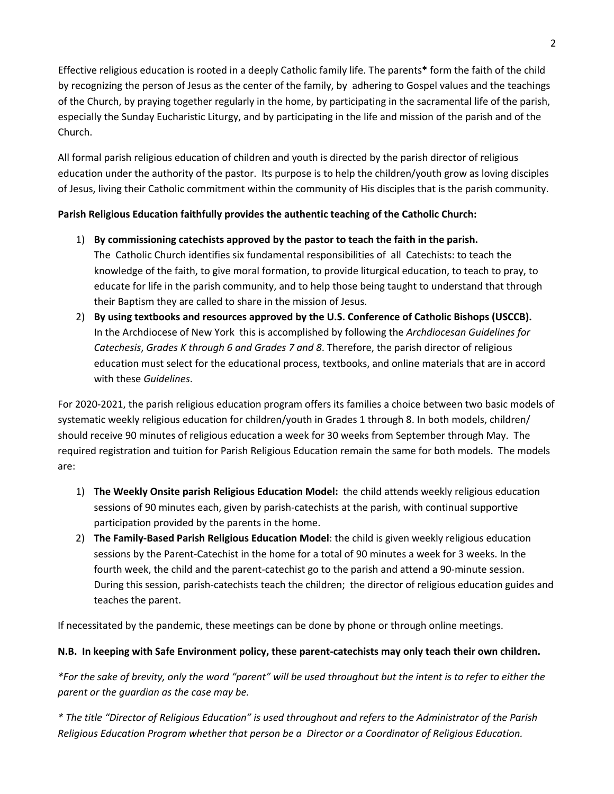Effective religious education is rooted in a deeply Catholic family life. The parents**\*** form the faith of the child by recognizing the person of Jesus as the center of the family, by adhering to Gospel values and the teachings of the Church, by praying together regularly in the home, by participating in the sacramental life of the parish, especially the Sunday Eucharistic Liturgy, and by participating in the life and mission of the parish and of the Church.

All formal parish religious education of children and youth is directed by the parish director of religious education under the authority of the pastor. Its purpose is to help the children/youth grow as loving disciples of Jesus, living their Catholic commitment within the community of His disciples that is the parish community.

### **Parish Religious Education faithfully provides the authentic teaching of the Catholic Church:**

- 1) **By commissioning catechists approved by the pastor to teach the faith in the parish.**  The Catholic Church identifies six fundamental responsibilities of all Catechists: to teach the knowledge of the faith, to give moral formation, to provide liturgical education, to teach to pray, to educate for life in the parish community, and to help those being taught to understand that through their Baptism they are called to share in the mission of Jesus.
- 2) **By using textbooks and resources approved by the U.S. Conference of Catholic Bishops (USCCB).** In the Archdiocese of New York this is accomplished by following the *Archdiocesan Guidelines for Catechesis*, *Grades K through 6 and Grades 7 and 8*. Therefore, the parish director of religious education must select for the educational process, textbooks, and online materials that are in accord with these *Guidelines*.

For 2020-2021, the parish religious education program offers its families a choice between two basic models of systematic weekly religious education for children/youth in Grades 1 through 8. In both models, children/ should receive 90 minutes of religious education a week for 30 weeks from September through May. The required registration and tuition for Parish Religious Education remain the same for both models. The models are:

- 1) **The Weekly Onsite parish Religious Education Model:** the child attends weekly religious education sessions of 90 minutes each, given by parish-catechists at the parish, with continual supportive participation provided by the parents in the home.
- 2) **The Family-Based Parish Religious Education Model**: the child is given weekly religious education sessions by the Parent-Catechist in the home for a total of 90 minutes a week for 3 weeks. In the fourth week, the child and the parent-catechist go to the parish and attend a 90-minute session. During this session, parish-catechists teach the children; the director of religious education guides and teaches the parent.

If necessitated by the pandemic, these meetings can be done by phone or through online meetings.

## **N.B. In keeping with Safe Environment policy, these parent-catechists may only teach their own children.**

*\*For the sake of brevity, only the word "parent" will be used throughout but the intent is to refer to either the parent or the guardian as the case may be.* 

*\* The title "Director of Religious Education" is used throughout and refers to the Administrator of the Parish Religious Education Program whether that person be a Director or a Coordinator of Religious Education.*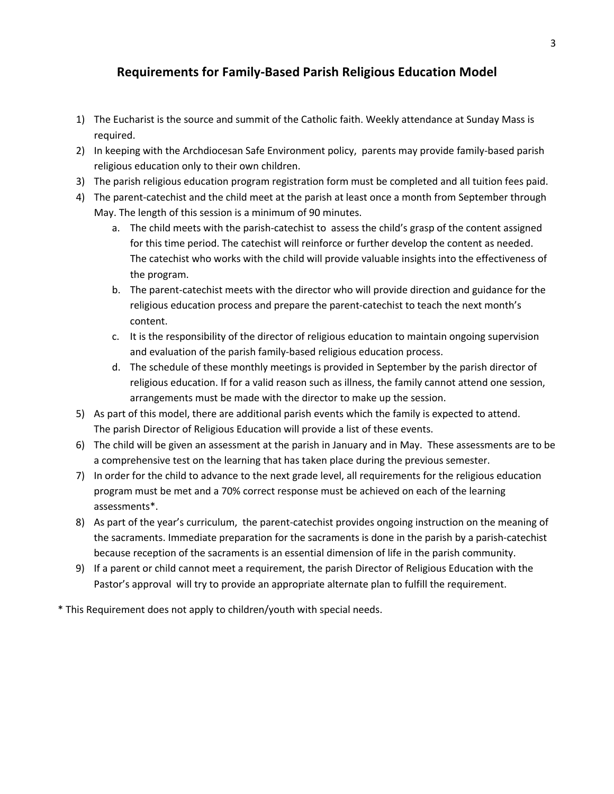# **Requirements for Family-Based Parish Religious Education Model**

- 1) The Eucharist is the source and summit of the Catholic faith. Weekly attendance at Sunday Mass is required.
- 2) In keeping with the Archdiocesan Safe Environment policy, parents may provide family-based parish religious education only to their own children.
- 3) The parish religious education program registration form must be completed and all tuition fees paid.
- 4) The parent-catechist and the child meet at the parish at least once a month from September through May. The length of this session is a minimum of 90 minutes.
	- a. The child meets with the parish-catechist to assess the child's grasp of the content assigned for this time period. The catechist will reinforce or further develop the content as needed. The catechist who works with the child will provide valuable insights into the effectiveness of the program.
	- b. The parent-catechist meets with the director who will provide direction and guidance for the religious education process and prepare the parent-catechist to teach the next month's content.
	- c. It is the responsibility of the director of religious education to maintain ongoing supervision and evaluation of the parish family-based religious education process.
	- d. The schedule of these monthly meetings is provided in September by the parish director of religious education. If for a valid reason such as illness, the family cannot attend one session, arrangements must be made with the director to make up the session.
- 5) As part of this model, there are additional parish events which the family is expected to attend. The parish Director of Religious Education will provide a list of these events.
- 6) The child will be given an assessment at the parish in January and in May. These assessments are to be a comprehensive test on the learning that has taken place during the previous semester.
- 7) In order for the child to advance to the next grade level, all requirements for the religious education program must be met and a 70% correct response must be achieved on each of the learning assessments\*.
- 8) As part of the year's curriculum, the parent-catechist provides ongoing instruction on the meaning of the sacraments. Immediate preparation for the sacraments is done in the parish by a parish-catechist because reception of the sacraments is an essential dimension of life in the parish community.
- 9) If a parent or child cannot meet a requirement, the parish Director of Religious Education with the Pastor's approval will try to provide an appropriate alternate plan to fulfill the requirement.

\* This Requirement does not apply to children/youth with special needs.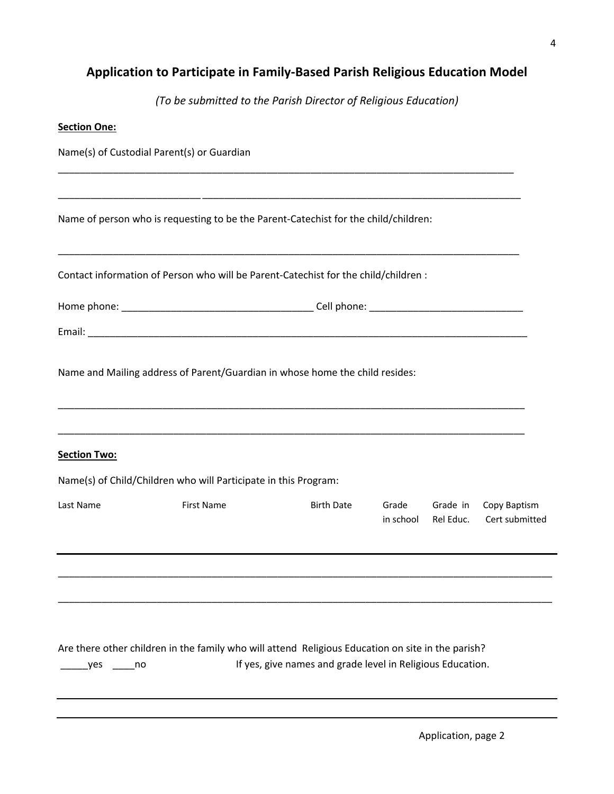# **Application to Participate in Family-Based Parish Religious Education Model**

*(To be submitted to the Parish Director of Religious Education)* 

| <b>Section One:</b> |                                                                                                   |                                                            |                    |                       |                                |
|---------------------|---------------------------------------------------------------------------------------------------|------------------------------------------------------------|--------------------|-----------------------|--------------------------------|
|                     | Name(s) of Custodial Parent(s) or Guardian                                                        |                                                            |                    |                       |                                |
|                     |                                                                                                   |                                                            |                    |                       |                                |
|                     | Name of person who is requesting to be the Parent-Catechist for the child/children:               |                                                            |                    |                       |                                |
|                     | Contact information of Person who will be Parent-Catechist for the child/children :               |                                                            |                    |                       |                                |
|                     |                                                                                                   |                                                            |                    |                       |                                |
|                     |                                                                                                   |                                                            |                    |                       |                                |
|                     | Name and Mailing address of Parent/Guardian in whose home the child resides:                      |                                                            |                    |                       |                                |
| <b>Section Two:</b> |                                                                                                   |                                                            |                    |                       |                                |
|                     | Name(s) of Child/Children who will Participate in this Program:                                   |                                                            |                    |                       |                                |
| Last Name           | <b>First Name</b>                                                                                 | <b>Birth Date</b>                                          | Grade<br>in school | Grade in<br>Rel Educ. | Copy Baptism<br>Cert submitted |
|                     |                                                                                                   |                                                            |                    |                       |                                |
| yes.<br>no no       | Are there other children in the family who will attend Religious Education on site in the parish? | If yes, give names and grade level in Religious Education. |                    |                       |                                |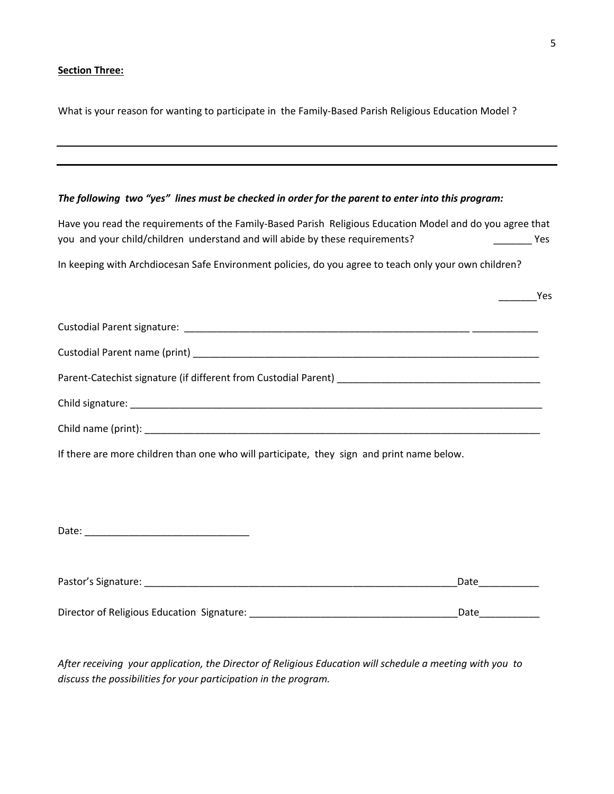### **Section Three:**

What is your reason for wanting to participate in the Family-Based Parish Religious Education Model ?

### *The following two "yes" lines must be checked in order for the parent to enter into this program:*

| Have you read the requirements of the Family-Based Parish Religious Education Model and do you agree that<br>you and your child/children understand and will abide by these requirements?<br>and the control of the Yes |  |
|-------------------------------------------------------------------------------------------------------------------------------------------------------------------------------------------------------------------------|--|
| In keeping with Archdiocesan Safe Environment policies, do you agree to teach only your own children?                                                                                                                   |  |
| $\frac{1}{2}$ Yes                                                                                                                                                                                                       |  |
|                                                                                                                                                                                                                         |  |
|                                                                                                                                                                                                                         |  |
|                                                                                                                                                                                                                         |  |
|                                                                                                                                                                                                                         |  |
|                                                                                                                                                                                                                         |  |
|                                                                                                                                                                                                                         |  |

If there are more children than one who will participate, they sign and print name below.

Date: \_\_\_\_\_\_\_\_\_\_\_\_\_\_\_\_\_\_\_\_\_\_\_\_\_\_\_\_\_\_

| Pastor's Signature:                        | Date |
|--------------------------------------------|------|
|                                            |      |
| Director of Religious Education Signature: | Date |

*After receiving your application, the Director of Religious Education will schedule a meeting with you to discuss the possibilities for your participation in the program.*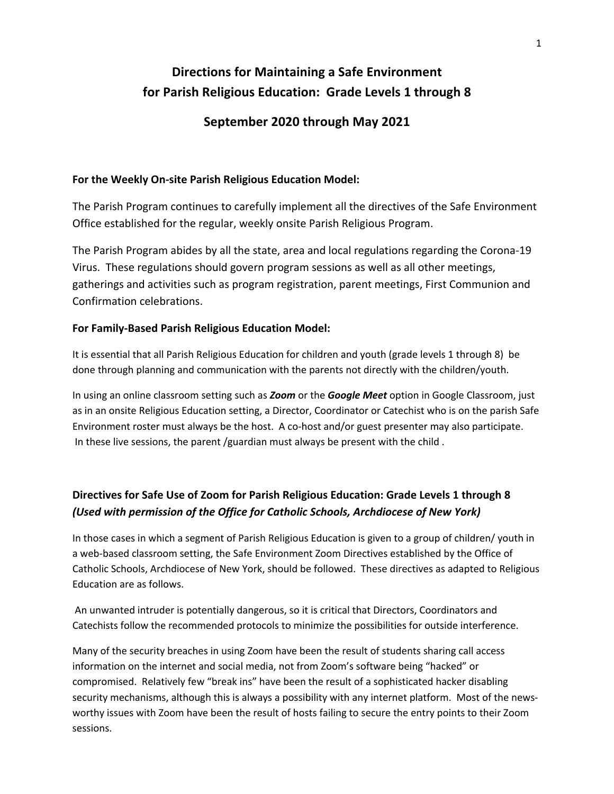# **Directions for Maintaining a Safe Environment for Parish Religious Education: Grade Levels 1 through 8**

# **September 2020 through May 2021**

### **For the Weekly On-site Parish Religious Education Model:**

The Parish Program continues to carefully implement all the directives of the Safe Environment Office established for the regular, weekly onsite Parish Religious Program.

The Parish Program abides by all the state, area and local regulations regarding the Corona-19 Virus. These regulations should govern program sessions as well as all other meetings, gatherings and activities such as program registration, parent meetings, First Communion and Confirmation celebrations.

### **For Family-Based Parish Religious Education Model:**

It is essential that all Parish Religious Education for children and youth (grade levels 1 through 8) be done through planning and communication with the parents not directly with the children/youth.

In using an online classroom setting such as *Zoom* or the *Google Meet* option in Google Classroom, just as in an onsite Religious Education setting, a Director, Coordinator or Catechist who is on the parish Safe Environment roster must always be the host. A co-host and/or guest presenter may also participate. In these live sessions, the parent /guardian must always be present with the child .

# **Directives for Safe Use of Zoom for Parish Religious Education: Grade Levels 1 through 8** *(Used with permission of the Office for Catholic Schools, Archdiocese of New York)*

In those cases in which a segment of Parish Religious Education is given to a group of children/ youth in a web-based classroom setting, the Safe Environment Zoom Directives established by the Office of Catholic Schools, Archdiocese of New York, should be followed. These directives as adapted to Religious Education are as follows.

An unwanted intruder is potentially dangerous, so it is critical that Directors, Coordinators and Catechists follow the recommended protocols to minimize the possibilities for outside interference.

Many of the security breaches in using Zoom have been the result of students sharing call access information on the internet and social media, not from Zoom's software being "hacked" or compromised. Relatively few "break ins" have been the result of a sophisticated hacker disabling security mechanisms, although this is always a possibility with any internet platform. Most of the newsworthy issues with Zoom have been the result of hosts failing to secure the entry points to their Zoom sessions.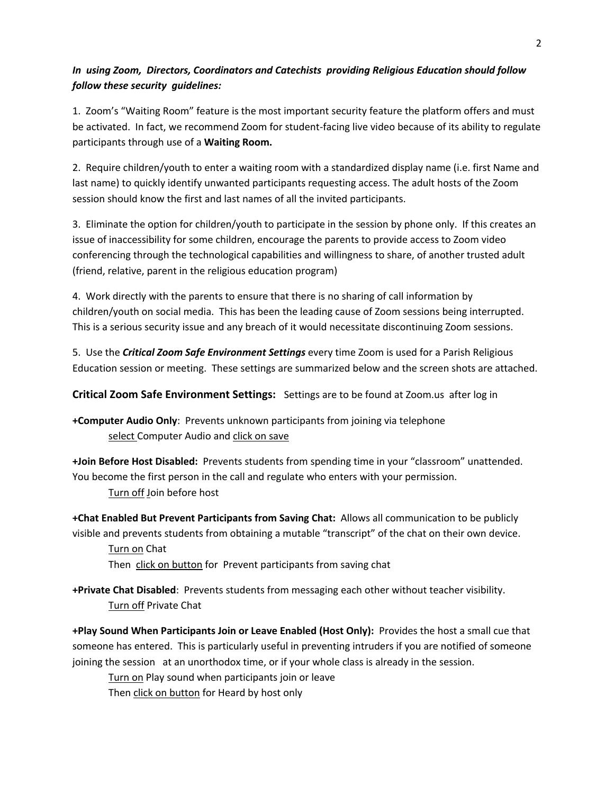### *In using Zoom, Directors, Coordinators and Catechists providing Religious Education should follow follow these security guidelines:*

1. Zoom's "Waiting Room" feature is the most important security feature the platform offers and must be activated. In fact, we recommend Zoom for student-facing live video because of its ability to regulate participants through use of a **Waiting Room.** 

2. Require children/youth to enter a waiting room with a standardized display name (i.e. first Name and last name) to quickly identify unwanted participants requesting access. The adult hosts of the Zoom session should know the first and last names of all the invited participants.

3. Eliminate the option for children/youth to participate in the session by phone only. If this creates an issue of inaccessibility for some children, encourage the parents to provide access to Zoom video conferencing through the technological capabilities and willingness to share, of another trusted adult (friend, relative, parent in the religious education program)

4. Work directly with the parents to ensure that there is no sharing of call information by children/youth on social media. This has been the leading cause of Zoom sessions being interrupted. This is a serious security issue and any breach of it would necessitate discontinuing Zoom sessions.

5. Use the *Critical Zoom Safe Environment Settings* every time Zoom is used for a Parish Religious Education session or meeting. These settings are summarized below and the screen shots are attached.

**Critical Zoom Safe Environment Settings:** Settings are to be found at Zoom.us after log in

**+Computer Audio Only**: Prevents unknown participants from joining via telephone select Computer Audio and click on save

**+Join Before Host Disabled:** Prevents students from spending time in your "classroom" unattended. You become the first person in the call and regulate who enters with your permission. Turn off Join before host

**+Chat Enabled But Prevent Participants from Saving Chat:** Allows all communication to be publicly visible and prevents students from obtaining a mutable "transcript" of the chat on their own device.

Turn on Chat Then click on button for Prevent participants from saving chat

**+Private Chat Disabled**: Prevents students from messaging each other without teacher visibility. Turn off Private Chat

**+Play Sound When Participants Join or Leave Enabled (Host Only):** Provides the host a small cue that someone has entered. This is particularly useful in preventing intruders if you are notified of someone joining the session at an unorthodox time, or if your whole class is already in the session.

Turn on Play sound when participants join or leave Then click on button for Heard by host only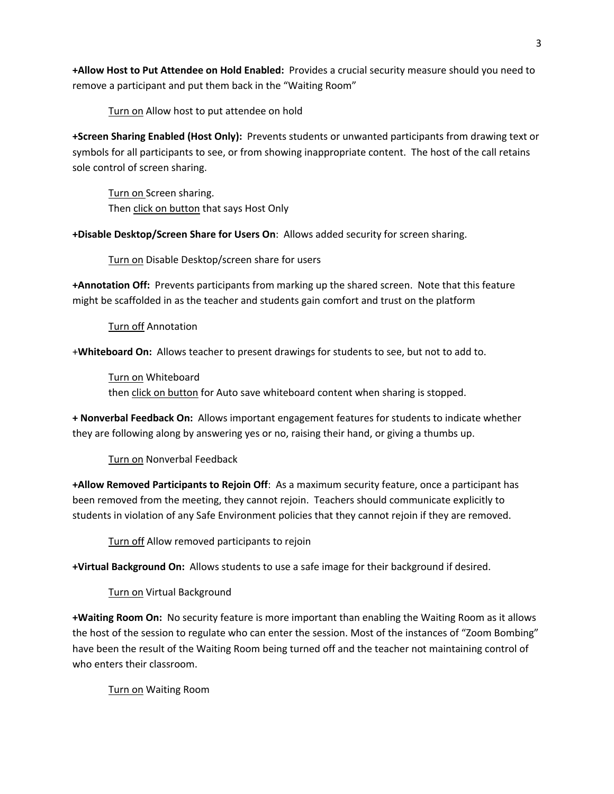**+Allow Host to Put Attendee on Hold Enabled:** Provides a crucial security measure should you need to remove a participant and put them back in the "Waiting Room"

Turn on Allow host to put attendee on hold

**+Screen Sharing Enabled (Host Only):** Prevents students or unwanted participants from drawing text or symbols for all participants to see, or from showing inappropriate content. The host of the call retains sole control of screen sharing.

Turn on Screen sharing. Then click on button that says Host Only

**+Disable Desktop/Screen Share for Users On**: Allows added security for screen sharing.

Turn on Disable Desktop/screen share for users

**+Annotation Off:** Prevents participants from marking up the shared screen. Note that this feature might be scaffolded in as the teacher and students gain comfort and trust on the platform

Turn off Annotation

+**Whiteboard On:** Allows teacher to present drawings for students to see, but not to add to.

Turn on Whiteboard then click on button for Auto save whiteboard content when sharing is stopped.

**+ Nonverbal Feedback On:** Allows important engagement features for students to indicate whether they are following along by answering yes or no, raising their hand, or giving a thumbs up.

Turn on Nonverbal Feedback

**+Allow Removed Participants to Rejoin Off**: As a maximum security feature, once a participant has been removed from the meeting, they cannot rejoin. Teachers should communicate explicitly to students in violation of any Safe Environment policies that they cannot rejoin if they are removed.

Turn off Allow removed participants to rejoin

**+Virtual Background On:** Allows students to use a safe image for their background if desired.

Turn on Virtual Background

**+Waiting Room On:** No security feature is more important than enabling the Waiting Room as it allows the host of the session to regulate who can enter the session. Most of the instances of "Zoom Bombing" have been the result of the Waiting Room being turned off and the teacher not maintaining control of who enters their classroom.

Turn on Waiting Room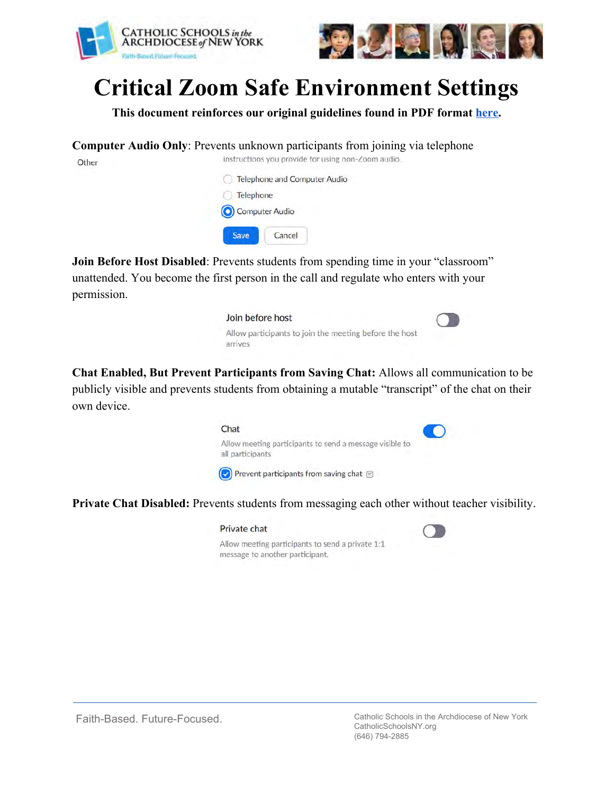



# **Critical Zoom Safe Environment Settings**

**This document reinforces our original guidelines found in PDF format [here](https://drive.google.com/file/d/14RC6g8ez1BIrFqKJV3L7hbz2j3lzg5Tg/view?usp=sharing).**

**Computer Audio Only**: Prevents unknown participants from joining via telephone instructions you provide for using non-Zoom audio.

Other

|                 | Telephone and Computer Audio |  |
|-----------------|------------------------------|--|
| Telephone<br>F. |                              |  |
| Computer Audio  |                              |  |
| Save            | Cancel                       |  |

**Join Before Host Disabled**: Prevents students from spending time in your "classroom" unattended. You become the first person in the call and regulate who enters with your permission.



**Chat Enabled, But Prevent Participants from Saving Chat:** Allows all communication to be publicly visible and prevents students from obtaining a mutable "transcript" of the chat on their own device.



**Private Chat Disabled:** Prevents students from messaging each other without teacher visibility.

#### Private chat

Allow meeting participants to send a private 1:1 message to another participant.



Faith-Based. Future-Focused. Catholic Schools in the Archdiocese of New York CatholicSchoolsNY.org (646) 794-2885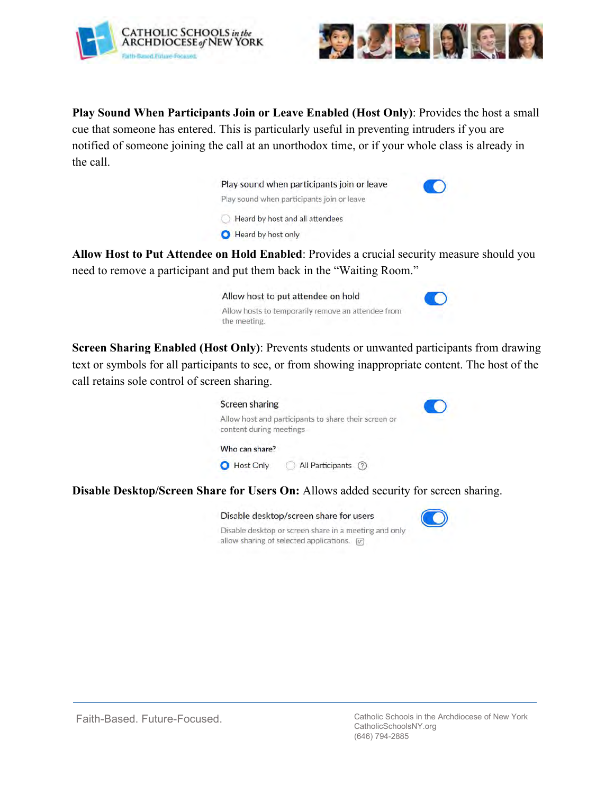



**Play Sound When Participants Join or Leave Enabled (Host Only)**: Provides the host a small cue that someone has entered. This is particularly useful in preventing intruders if you are notified of someone joining the call at an unorthodox time, or if your whole class is already in the call.

| Play sound when participants join or leave |  |
|--------------------------------------------|--|
| Play sound when participants join or leave |  |
| Heard by host and all attendees            |  |
| Heard by host only                         |  |
|                                            |  |

**Allow Host to Put Attendee on Hold Enabled**: Provides a crucial security measure should you need to remove a participant and put them back in the "Waiting Room."

| Allow host to put attendee on hold                                 |  |
|--------------------------------------------------------------------|--|
| Allow hosts to temporarily remove an attendee from<br>the meeting. |  |

**Screen Sharing Enabled (Host Only)**: Prevents students or unwanted participants from drawing text or symbols for all participants to see, or from showing inappropriate content. The host of the call retains sole control of screen sharing.



**Disable Desktop/Screen Share for Users On:** Allows added security for screen sharing.

allow sharing of selected applications. [v]

| Disable desktop/screen share for users                |  |  |
|-------------------------------------------------------|--|--|
| Disable desktop or screen share in a meeting and only |  |  |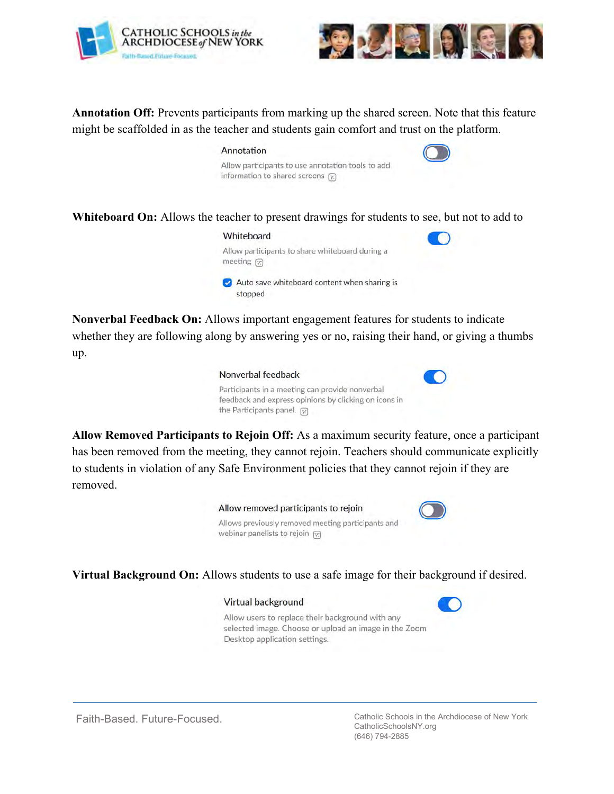



**Annotation Off:** Prevents participants from marking up the shared screen. Note that this feature might be scaffolded in as the teacher and students gain comfort and trust on the platform.

# Annotation Allow participants to use annotation tools to add information to shared screens  $\boxed{v}$

**Whiteboard On:** Allows the teacher to present drawings for students to see, but not to add to



**Nonverbal Feedback On:** Allows important engagement features for students to indicate whether they are following along by answering yes or no, raising their hand, or giving a thumbs up.



**Allow Removed Participants to Rejoin Off:** As a maximum security feature, once a participant has been removed from the meeting, they cannot rejoin. Teachers should communicate explicitly to students in violation of any Safe Environment policies that they cannot rejoin if they are removed.



**Virtual Background On:** Allows students to use a safe image for their background if desired.

### Virtual background



Allow users to replace their background with any selected image. Choose or upload an image in the Zoom Desktop application settings.

Faith-Based. Future-Focused. Catholic Schools in the Archdiocese of New York CatholicSchoolsNY.org (646) 794-2885